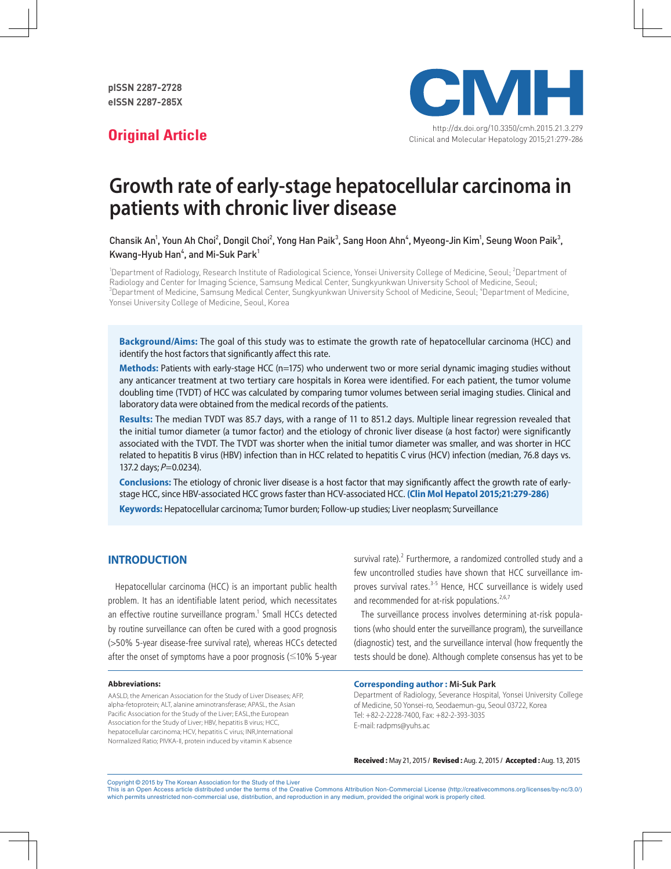

# **Growth rate of early-stage hepatocellular carcinoma in patients with chronic liver disease**

Chansik An', Youn Ah Choi $^2$ , Dongil Choi $^2$ , Yong Han Paik $^3$ , Sang Hoon Ahn $^4$ , Myeong-Jin Kim $^1$ , Seung Woon Paik $^3$ , Kwang-Hyub Han $^4$ , and Mi-Suk Park $^1$ 

<sup>1</sup>Department of Radiology, Research Institute of Radiological Science, Yonsei University College of Medicine, Seoul; <sup>2</sup>Department of Radiology and Center for Imaging Science, Samsung Medical Center, Sungkyunkwan University School of Medicine, Seoul;  $^3$ Department of Medicine, Samsung Medical Center, Sungkyunkwan University School of Medicine, Seoul;  $^4$ Department of Medicine, Yonsei University College of Medicine, Seoul, Korea

**Background/Aims:** The goal of this study was to estimate the growth rate of hepatocellular carcinoma (HCC) and identify the host factors that significantly affect this rate.

**Methods:** Patients with early-stage HCC (n=175) who underwent two or more serial dynamic imaging studies without any anticancer treatment at two tertiary care hospitals in Korea were identified. For each patient, the tumor volume doubling time (TVDT) of HCC was calculated by comparing tumor volumes between serial imaging studies. Clinical and laboratory data were obtained from the medical records of the patients.

**Results:** The median TVDT was 85.7 days, with a range of 11 to 851.2 days. Multiple linear regression revealed that the initial tumor diameter (a tumor factor) and the etiology of chronic liver disease (a host factor) were significantly associated with the TVDT. The TVDT was shorter when the initial tumor diameter was smaller, and was shorter in HCC related to hepatitis B virus (HBV) infection than in HCC related to hepatitis C virus (HCV) infection (median, 76.8 days vs. 137.2 days;  $P=0.0234$ ).

**Conclusions:** The etiology of chronic liver disease is a host factor that may significantly affect the growth rate of earlystage HCC, since HBV-associated HCC grows faster than HCV-associated HCC. **(Clin Mol Hepatol 2015;21:279-286) Keywords:** Hepatocellular carcinoma; Tumor burden; Follow-up studies; Liver neoplasm; Surveillance

#### **INTRODUCTION**

Hepatocellular carcinoma (HCC) is an important public health problem. It has an identifiable latent period, which necessitates an effective routine surveillance program.<sup>1</sup> Small HCCs detected by routine surveillance can often be cured with a good prognosis (>50% 5-year disease-free survival rate), whereas HCCs detected after the onset of symptoms have a poor prognosis (≤10% 5-year

#### **Abbreviations:**

AASLD, the American Association for the Study of Liver Diseases; AFP, alpha-fetoprotein; ALT, alanine aminotransferase; APASL, the Asian Pacific Association for the Study of the Liver; EASL,the European Association for the Study of Liver; HBV, hepatitis B virus; HCC, hepatocellular carcinoma; HCV, hepatitis C virus; INR,International Normalized Ratio; PIVKA-II, protein induced by vitamin K absence

survival rate). $2$  Furthermore, a randomized controlled study and a few uncontrolled studies have shown that HCC surveillance improves survival rates.<sup>3-5</sup> Hence, HCC surveillance is widely used and recommended for at-risk populations.<sup>2,6,7</sup>

The surveillance process involves determining at-risk populations (who should enter the surveillance program), the surveillance (diagnostic) test, and the surveillance interval (how frequently the tests should be done). Although complete consensus has yet to be

#### **Corresponding author : Mi-Suk Park**

Department of Radiology, Severance Hospital, Yonsei University College of Medicine, 50 Yonsei-ro, Seodaemun-gu, Seoul 03722, Korea Tel: +82-2-2228-7400, Fax: +82-2-393-3035 E-mail: radpms@yuhs.ac

Received : May 21, 2015 / Revised : Aug. 2, 2015 / Accepted : Aug. 13, 2015

Copyright © 2015 by The Korean Association for the Study of the Liver

This is an Open Access article distributed under the terms of the Creative Commons Attribution Non-Commercial License (http://creativecommons.org/licenses/by-nc/3.0/) which permits unrestricted non-commercial use, distribution, and reproduction in any medium, provided the original work is properly cited.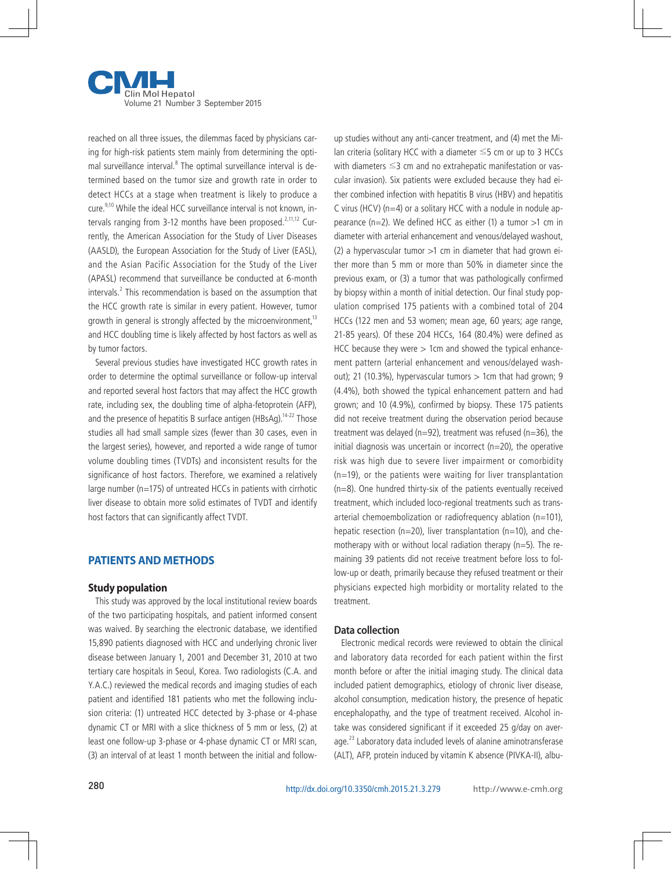

reached on all three issues, the dilemmas faced by physicians caring for high-risk patients stem mainly from determining the optimal surveillance interval.<sup>8</sup> The optimal surveillance interval is determined based on the tumor size and growth rate in order to detect HCCs at a stage when treatment is likely to produce a cure.9,10 While the ideal HCC surveillance interval is not known, intervals ranging from 3-12 months have been proposed.<sup>2,11,12</sup> Currently, the American Association for the Study of Liver Diseases (AASLD), the European Association for the Study of Liver (EASL), and the Asian Pacific Association for the Study of the Liver (APASL) recommend that surveillance be conducted at 6-month intervals.<sup>2</sup> This recommendation is based on the assumption that the HCC growth rate is similar in every patient. However, tumor growth in general is strongly affected by the microenvironment, $13$ and HCC doubling time is likely affected by host factors as well as by tumor factors.

Several previous studies have investigated HCC growth rates in order to determine the optimal surveillance or follow-up interval and reported several host factors that may affect the HCC growth rate, including sex, the doubling time of alpha-fetoprotein (AFP), and the presence of hepatitis B surface antigen (HBsAg).<sup>14-22</sup> Those studies all had small sample sizes (fewer than 30 cases, even in the largest series), however, and reported a wide range of tumor volume doubling times (TVDTs) and inconsistent results for the significance of host factors. Therefore, we examined a relatively large number (n=175) of untreated HCCs in patients with cirrhotic liver disease to obtain more solid estimates of TVDT and identify host factors that can significantly affect TVDT.

#### **PATIENTS AND METHODS**

#### **Study population**

This study was approved by the local institutional review boards of the two participating hospitals, and patient informed consent was waived. By searching the electronic database, we identified 15,890 patients diagnosed with HCC and underlying chronic liver disease between January 1, 2001 and December 31, 2010 at two tertiary care hospitals in Seoul, Korea. Two radiologists (C.A. and Y.A.C.) reviewed the medical records and imaging studies of each patient and identified 181 patients who met the following inclusion criteria: (1) untreated HCC detected by 3-phase or 4-phase dynamic CT or MRI with a slice thickness of 5 mm or less, (2) at least one follow-up 3-phase or 4-phase dynamic CT or MRI scan, (3) an interval of at least 1 month between the initial and followup studies without any anti-cancer treatment, and (4) met the Milan criteria (solitary HCC with a diameter ≤5 cm or up to 3 HCCs with diameters ≤3 cm and no extrahepatic manifestation or vascular invasion). Six patients were excluded because they had either combined infection with hepatitis B virus (HBV) and hepatitis C virus (HCV) ( $n=4$ ) or a solitary HCC with a nodule in nodule appearance  $(n=2)$ . We defined HCC as either (1) a tumor  $>1$  cm in diameter with arterial enhancement and venous/delayed washout, (2) a hypervascular tumor  $>1$  cm in diameter that had grown either more than 5 mm or more than 50% in diameter since the previous exam, or (3) a tumor that was pathologically confirmed by biopsy within a month of initial detection. Our final study population comprised 175 patients with a combined total of 204 HCCs (122 men and 53 women; mean age, 60 years; age range, 21-85 years). Of these 204 HCCs, 164 (80.4%) were defined as HCC because they were  $> 1$ cm and showed the typical enhancement pattern (arterial enhancement and venous/delayed washout); 21 (10.3%), hypervascular tumors  $> 1$ cm that had grown; 9 (4.4%), both showed the typical enhancement pattern and had grown; and 10 (4.9%), confirmed by biopsy. These 175 patients did not receive treatment during the observation period because treatment was delayed (n=92), treatment was refused (n=36), the initial diagnosis was uncertain or incorrect (n=20), the operative risk was high due to severe liver impairment or comorbidity (n=19), or the patients were waiting for liver transplantation (n=8). One hundred thirty-six of the patients eventually received treatment, which included loco-regional treatments such as transarterial chemoembolization or radiofrequency ablation (n=101), hepatic resection ( $n=20$ ), liver transplantation ( $n=10$ ), and chemotherapy with or without local radiation therapy (n=5). The remaining 39 patients did not receive treatment before loss to follow-up or death, primarily because they refused treatment or their physicians expected high morbidity or mortality related to the treatment.

#### **Data collection**

Electronic medical records were reviewed to obtain the clinical and laboratory data recorded for each patient within the first month before or after the initial imaging study. The clinical data included patient demographics, etiology of chronic liver disease, alcohol consumption, medication history, the presence of hepatic encephalopathy, and the type of treatment received. Alcohol intake was considered significant if it exceeded 25 g/day on average.<sup>23</sup> Laboratory data included levels of alanine aminotransferase (ALT), AFP, protein induced by vitamin K absence (PIVKA-II), albu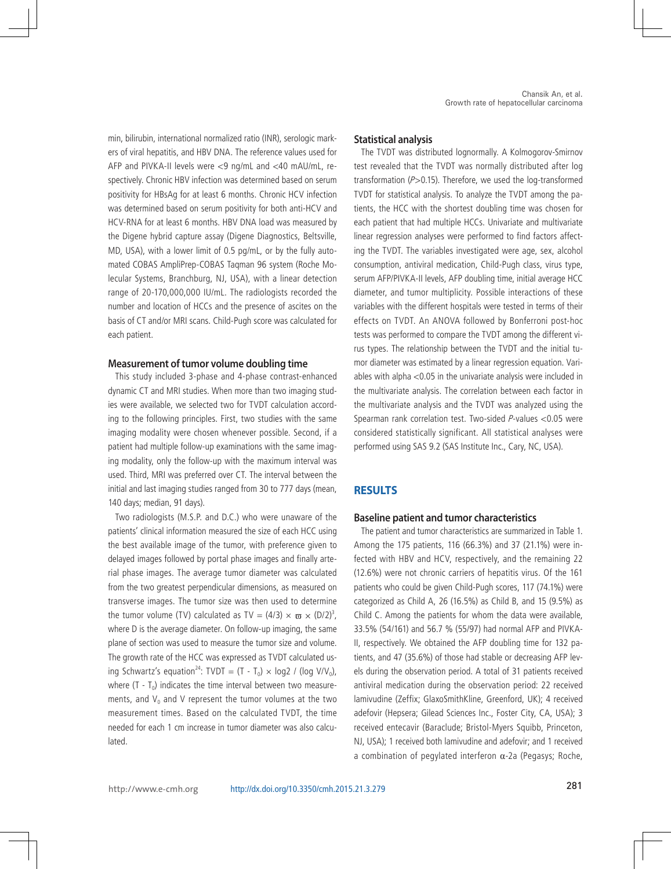min, bilirubin, international normalized ratio (INR), serologic markers of viral hepatitis, and HBV DNA. The reference values used for AFP and PIVKA-II levels were <9 ng/mL and <40 mAU/mL, respectively. Chronic HBV infection was determined based on serum positivity for HBsAg for at least 6 months. Chronic HCV infection was determined based on serum positivity for both anti-HCV and HCV-RNA for at least 6 months. HBV DNA load was measured by the Digene hybrid capture assay (Digene Diagnostics, Beltsville, MD, USA), with a lower limit of 0.5 pg/mL, or by the fully automated COBAS AmpliPrep-COBAS Taqman 96 system (Roche Molecular Systems, Branchburg, NJ, USA), with a linear detection range of 20-170,000,000 IU/mL. The radiologists recorded the number and location of HCCs and the presence of ascites on the basis of CT and/or MRI scans. Child-Pugh score was calculated for each patient.

#### **Measurement of tumor volume doubling time**

This study included 3-phase and 4-phase contrast-enhanced dynamic CT and MRI studies. When more than two imaging studies were available, we selected two for TVDT calculation according to the following principles. First, two studies with the same imaging modality were chosen whenever possible. Second, if a patient had multiple follow-up examinations with the same imaging modality, only the follow-up with the maximum interval was used. Third, MRI was preferred over CT. The interval between the initial and last imaging studies ranged from 30 to 777 days (mean, 140 days; median, 91 days).

Two radiologists (M.S.P. and D.C.) who were unaware of the patients' clinical information measured the size of each HCC using the best available image of the tumor, with preference given to delayed images followed by portal phase images and finally arterial phase images. The average tumor diameter was calculated from the two greatest perpendicular dimensions, as measured on transverse images. The tumor size was then used to determine the tumor volume (TV) calculated as TV =  $(4/3) \times \varpi \times (D/2)^3$ , where D is the average diameter. On follow-up imaging, the same plane of section was used to measure the tumor size and volume. The growth rate of the HCC was expressed as TVDT calculated using Schwartz's equation<sup>24</sup>: TVDT =  $(T - T_0) \times \log 2 / (\log V/V_0)$ , where  $(T - T_0)$  indicates the time interval between two measurements, and  $V_0$  and V represent the tumor volumes at the two measurement times. Based on the calculated TVDT, the time needed for each 1 cm increase in tumor diameter was also calculated.

#### **Statistical analysis**

The TVDT was distributed lognormally. A Kolmogorov-Smirnov test revealed that the TVDT was normally distributed after log transformation  $(P>0.15)$ . Therefore, we used the log-transformed TVDT for statistical analysis. To analyze the TVDT among the patients, the HCC with the shortest doubling time was chosen for each patient that had multiple HCCs. Univariate and multivariate linear regression analyses were performed to find factors affecting the TVDT. The variables investigated were age, sex, alcohol consumption, antiviral medication, Child-Pugh class, virus type, serum AFP/PIVKA-II levels, AFP doubling time, initial average HCC diameter, and tumor multiplicity. Possible interactions of these variables with the different hospitals were tested in terms of their effects on TVDT. An ANOVA followed by Bonferroni post-hoc tests was performed to compare the TVDT among the different virus types. The relationship between the TVDT and the initial tumor diameter was estimated by a linear regression equation. Variables with alpha <0.05 in the univariate analysis were included in the multivariate analysis. The correlation between each factor in the multivariate analysis and the TVDT was analyzed using the Spearman rank correlation test. Two-sided P-values <0.05 were considered statistically significant. All statistical analyses were performed using SAS 9.2 (SAS Institute Inc., Cary, NC, USA).

# **RESULTS**

#### **Baseline patient and tumor characteristics**

The patient and tumor characteristics are summarized in Table 1. Among the 175 patients, 116 (66.3%) and 37 (21.1%) were infected with HBV and HCV, respectively, and the remaining 22 (12.6%) were not chronic carriers of hepatitis virus. Of the 161 patients who could be given Child-Pugh scores, 117 (74.1%) were categorized as Child A, 26 (16.5%) as Child B, and 15 (9.5%) as Child C. Among the patients for whom the data were available, 33.5% (54/161) and 56.7 % (55/97) had normal AFP and PIVKA-II, respectively. We obtained the AFP doubling time for 132 patients, and 47 (35.6%) of those had stable or decreasing AFP levels during the observation period. A total of 31 patients received antiviral medication during the observation period: 22 received lamivudine (Zeffix; GlaxoSmithKline, Greenford, UK); 4 received adefovir (Hepsera; Gilead Sciences Inc., Foster City, CA, USA); 3 received entecavir (Baraclude; Bristol-Myers Squibb, Princeton, NJ, USA); 1 received both lamivudine and adefovir; and 1 received a combination of pegylated interferon α-2a (Pegasys; Roche,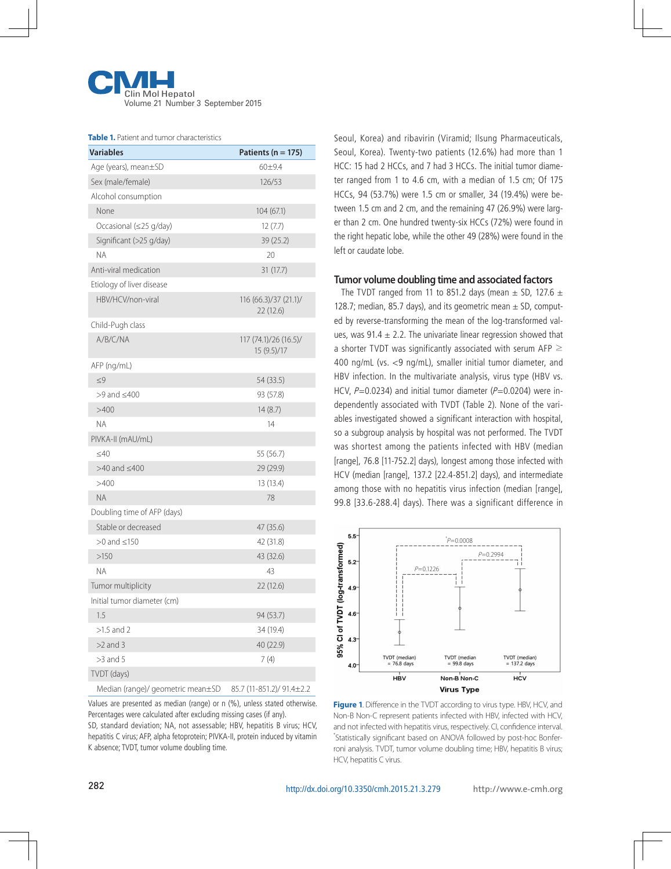

#### **Table 1.** Patient and tumor characteristics

| <b>Variables</b>                  | Patients ( $n = 175$ )               |
|-----------------------------------|--------------------------------------|
| Age (years), mean±SD              | $60 + 9.4$                           |
| Sex (male/female)                 | 126/53                               |
| Alcohol consumption               |                                      |
| None                              | 104(67.1)                            |
| Occasional (≤25 g/day)            | 12(7.7)                              |
| Significant (>25 g/day)           | 39 (25.2)                            |
| <b>NA</b>                         | 20                                   |
| Anti-viral medication             | 31(17.7)                             |
| Etiology of liver disease         |                                      |
| HBV/HCV/non-viral                 | 116(66.3)/37(21.1)<br>22(12.6)       |
| Child-Pugh class                  |                                      |
| A/B/C/NA                          | 117 (74.1)/26 (16.5)/<br>15 (9.5)/17 |
| AFP (ng/mL)                       |                                      |
| $\leq 9$                          | 54 (33.5)                            |
| $>9$ and $\leq 400$               | 93 (57.8)                            |
| >400                              | 14(8.7)                              |
| <b>NA</b>                         | 14                                   |
| PIVKA-II (mAU/mL)                 |                                      |
| $<$ 40                            | 55 (56.7)                            |
| $>40$ and $\leq 400$              | 29 (29.9)                            |
| >400                              | 13 (13.4)                            |
| <b>NA</b>                         | 78                                   |
| Doubling time of AFP (days)       |                                      |
| Stable or decreased               | 47 (35.6)                            |
| $>0$ and $\leq$ 150               | 42 (31.8)                            |
| >150                              | 43 (32.6)                            |
| <b>NA</b>                         | 43                                   |
| Tumor multiplicity                | 22(12.6)                             |
| Initial tumor diameter (cm)       |                                      |
| 1.5                               | 94 (53.7)                            |
| $>1.5$ and 2                      | 34 (19.4)                            |
| $>2$ and 3                        | 40 (22.9)                            |
| $>3$ and 5                        | 7(4)                                 |
| TVDT (days)                       |                                      |
| Median (range)/ geometric mean±SD | 85.7 (11-851.2)/ 91.4±2.2            |

Values are presented as median (range) or n (%), unless stated otherwise. Percentages were calculated after excluding missing cases (if any).

SD, standard deviation; NA, not assessable; HBV, hepatitis B virus; HCV, hepatitis C virus; AFP, alpha fetoprotein; PIVKA-II, protein induced by vitamin K absence; TVDT, tumor volume doubling time.

Seoul, Korea) and ribavirin (Viramid; Ilsung Pharmaceuticals, Seoul, Korea). Twenty-two patients (12.6%) had more than 1 HCC: 15 had 2 HCCs, and 7 had 3 HCCs. The initial tumor diameter ranged from 1 to 4.6 cm, with a median of 1.5 cm; Of 175 HCCs, 94 (53.7%) were 1.5 cm or smaller, 34 (19.4%) were between 1.5 cm and 2 cm, and the remaining 47 (26.9%) were larger than 2 cm. One hundred twenty-six HCCs (72%) were found in the right hepatic lobe, while the other 49 (28%) were found in the left or caudate lobe.

## **Tumor volume doubling time and associated factors**

The TVDT ranged from 11 to 851.2 days (mean  $\pm$  SD, 127.6  $\pm$ 128.7; median, 85.7 days), and its geometric mean  $\pm$  SD, computed by reverse-transforming the mean of the log-transformed values, was 91.4  $\pm$  2.2. The univariate linear regression showed that a shorter TVDT was significantly associated with serum AFP  $\geq$ 400 ng/mL (vs. <9 ng/mL), smaller initial tumor diameter, and HBV infection. In the multivariate analysis, virus type (HBV vs. HCV,  $P=0.0234$ ) and initial tumor diameter ( $P=0.0204$ ) were independently associated with TVDT (Table 2). None of the variables investigated showed a significant interaction with hospital, so a subgroup analysis by hospital was not performed. The TVDT was shortest among the patients infected with HBV (median [range], 76.8 [11-752.2] days), longest among those infected with HCV (median [range], 137.2 [22.4-851.2] days), and intermediate among those with no hepatitis virus infection (median [range], 99.8 [33.6-288.4] days). There was a significant difference in



**Figure 1**. Difference in the TVDT according to virus type. HBV, HCV, and Non-B Non-C represent patients infected with HBV, infected with HCV, and not infected with hepatitis virus, respectively. CI, confidence interval. \* Statistically significant based on ANOVA followed by post-hoc Bonferroni analysis. TVDT, tumor volume doubling time; HBV, hepatitis B virus; HCV, hepatitis C virus.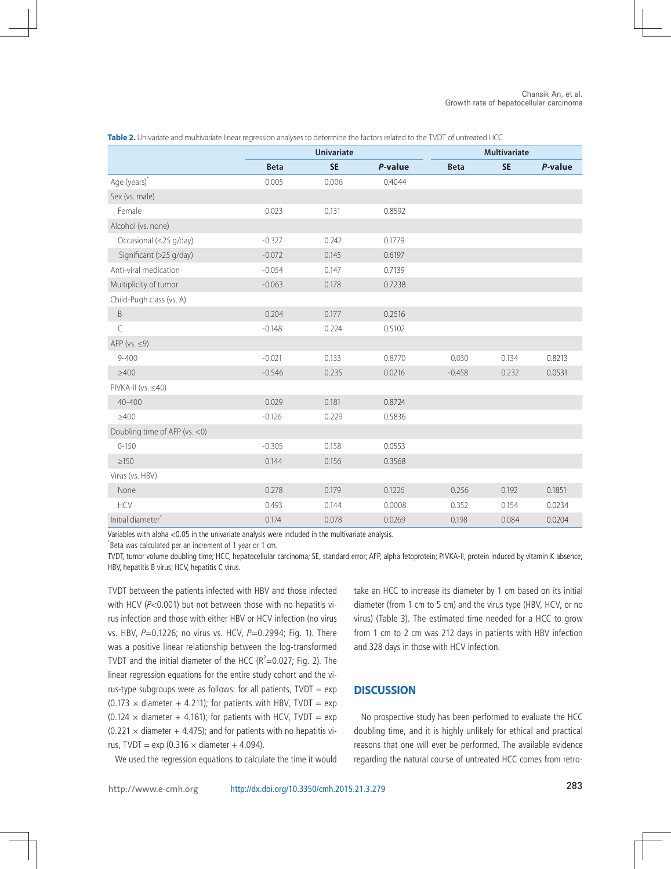|                                | <b>Univariate</b> |           |         | <b>Multivariate</b> |           |         |  |
|--------------------------------|-------------------|-----------|---------|---------------------|-----------|---------|--|
|                                | <b>Beta</b>       | <b>SE</b> | P-value | <b>Beta</b>         | <b>SE</b> | P-value |  |
| Age (years)*                   | 0.005             | 0.006     | 0.4044  |                     |           |         |  |
| Sex (vs. male)                 |                   |           |         |                     |           |         |  |
| Female                         | 0.023             | 0.131     | 0.8592  |                     |           |         |  |
| Alcohol (vs. none)             |                   |           |         |                     |           |         |  |
| Occasional (≤25 g/day)         | $-0.327$          | 0.242     | 0.1779  |                     |           |         |  |
| Significant (>25 g/day)        | $-0.072$          | 0.145     | 0.6197  |                     |           |         |  |
| Anti-viral medication          | $-0.054$          | 0.147     | 0.7139  |                     |           |         |  |
| Multiplicity of tumor          | $-0.063$          | 0.178     | 0.7238  |                     |           |         |  |
| Child-Pugh class (vs. A)       |                   |           |         |                     |           |         |  |
| $\sf B$                        | 0.204             | 0.177     | 0.2516  |                     |           |         |  |
| $\mathsf C$                    | $-0.148$          | 0.224     | 0.5102  |                     |           |         |  |
| AFP ( $vs. \leq 9$ )           |                   |           |         |                     |           |         |  |
| $9 - 400$                      | $-0.021$          | 0.133     | 0.8770  | 0.030               | 0.134     | 0.8213  |  |
| $\geq 400$                     | $-0.546$          | 0.235     | 0.0216  | $-0.458$            | 0.232     | 0.0531  |  |
| $PIVKA-II (vs. \leq 40)$       |                   |           |         |                     |           |         |  |
| 40-400                         | 0.029             | 0.181     | 0.8724  |                     |           |         |  |
| $\geq 400$                     | $-0.126$          | 0.229     | 0.5836  |                     |           |         |  |
| Doubling time of AFP (vs. < 0) |                   |           |         |                     |           |         |  |
| $0 - 150$                      | $-0.305$          | 0.158     | 0.0553  |                     |           |         |  |
| $\geq150$                      | 0.144             | 0.156     | 0.3568  |                     |           |         |  |
| Virus (vs. HBV)                |                   |           |         |                     |           |         |  |
| None                           | 0.278             | 0.179     | 0.1226  | 0.256               | 0.192     | 0.1851  |  |
| <b>HCV</b>                     | 0.493             | 0.144     | 0.0008  | 0.352               | 0.154     | 0.0234  |  |
| Initial diameter               | 0.174             | 0.078     | 0.0269  | 0.198               | 0.084     | 0.0204  |  |

**Table 2.** Univariate and multivariate linear regression analyses to determine the factors related to the TVDT of untreated HCC

Variables with alpha <0.05 in the univariate analysis were included in the multivariate analysis.

\* Beta was calculated per an increment of 1 year or 1 cm.

TVDT, tumor volume doubling time; HCC, hepatocellular carcinoma; SE, standard error; AFP, alpha fetoprotein; PIVKA-II, protein induced by vitamin K absence; HBV, hepatitis B virus; HCV, hepatitis C virus.

TVDT between the patients infected with HBV and those infected with HCV (P<0.001) but not between those with no hepatitis virus infection and those with either HBV or HCV infection (no virus vs. HBV,  $P=0.1226$ ; no virus vs. HCV,  $P=0.2994$ ; Fig. 1). There was a positive linear relationship between the log-transformed TVDT and the initial diameter of the HCC ( $R^2$ =0.027; Fig. 2). The linear regression equations for the entire study cohort and the virus-type subgroups were as follows: for all patients,  $TVDT = exp$  $(0.173 \times$  diameter + 4.211); for patients with HBV, TVDT = exp  $(0.124 \times$  diameter + 4.161); for patients with HCV, TVDT = exp  $(0.221 \times$  diameter + 4.475); and for patients with no hepatitis virus, TVDT = exp (0.316  $\times$  diameter + 4.094).

We used the regression equations to calculate the time it would

take an HCC to increase its diameter by 1 cm based on its initial diameter (from 1 cm to 5 cm) and the virus type (HBV, HCV, or no virus) (Table 3). The estimated time needed for a HCC to grow from 1 cm to 2 cm was 212 days in patients with HBV infection and 328 days in those with HCV infection.

# **DISCUSSION**

No prospective study has been performed to evaluate the HCC doubling time, and it is highly unlikely for ethical and practical reasons that one will ever be performed. The available evidence regarding the natural course of untreated HCC comes from retro-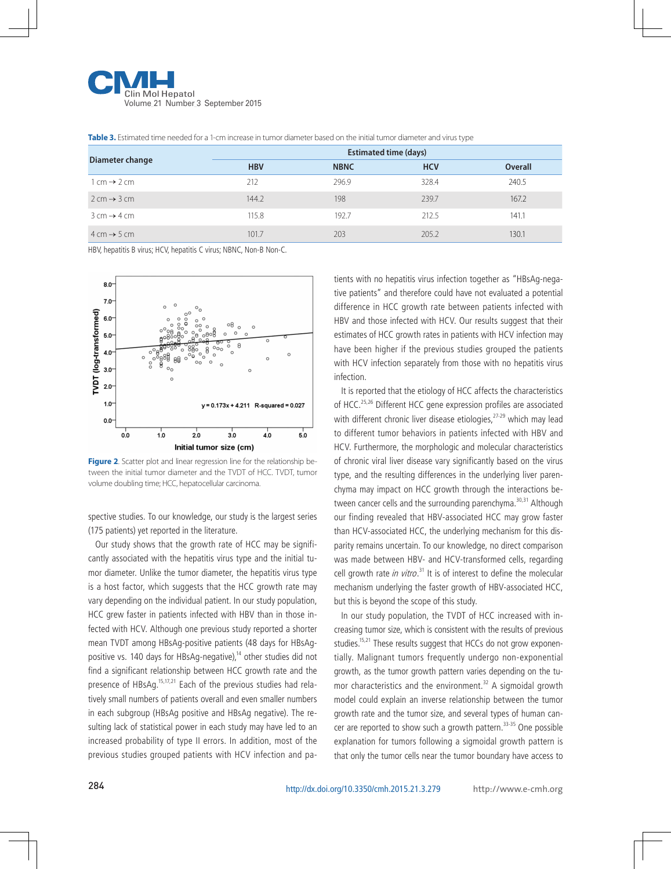![](_page_5_Picture_0.jpeg)

| Diameter change                         | <b>Estimated time (days)</b> |             |            |                |  |  |
|-----------------------------------------|------------------------------|-------------|------------|----------------|--|--|
|                                         | <b>HBV</b>                   | <b>NBNC</b> | <b>HCV</b> | <b>Overall</b> |  |  |
| $1 \text{ cm} \rightarrow 2 \text{ cm}$ | 212                          | 296.9       | 328.4      | 240.5          |  |  |
| $2 \text{ cm} \rightarrow 3 \text{ cm}$ | 144.2                        | 198         | 239.7      | 167.2          |  |  |
| $3 \text{ cm} \rightarrow 4 \text{ cm}$ | 115.8                        | 192.7       | 212.5      | 141.1          |  |  |
| $4 \text{ cm} \rightarrow 5 \text{ cm}$ | 101.7                        | 203         | 205.2      | 130.1          |  |  |

**Table 3.** Estimated time needed for a 1-cm increase in tumor diameter based on the initial tumor diameter and virus type

HBV, hepatitis B virus; HCV, hepatitis C virus; NBNC, Non-B Non-C.

![](_page_5_Figure_4.jpeg)

**Figure 2.** Scatter plot and linear regression line for the relationship between the initial tumor diameter and the TVDT of HCC. TVDT, tumor volume doubling time; HCC, hepatocellular carcinoma.

spective studies. To our knowledge, our study is the largest series (175 patients) yet reported in the literature.

Our study shows that the growth rate of HCC may be significantly associated with the hepatitis virus type and the initial tumor diameter. Unlike the tumor diameter, the hepatitis virus type is a host factor, which suggests that the HCC growth rate may vary depending on the individual patient. In our study population, HCC grew faster in patients infected with HBV than in those infected with HCV. Although one previous study reported a shorter mean TVDT among HBsAg-positive patients (48 days for HBsAgpositive vs. 140 days for HBsAg-negative),<sup>14</sup> other studies did not find a significant relationship between HCC growth rate and the presence of HBsAg.<sup>15,17,21</sup> Each of the previous studies had relatively small numbers of patients overall and even smaller numbers in each subgroup (HBsAg positive and HBsAg negative). The resulting lack of statistical power in each study may have led to an increased probability of type II errors. In addition, most of the previous studies grouped patients with HCV infection and patients with no hepatitis virus infection together as "HBsAg-negative patients" and therefore could have not evaluated a potential difference in HCC growth rate between patients infected with HBV and those infected with HCV. Our results suggest that their estimates of HCC growth rates in patients with HCV infection may have been higher if the previous studies grouped the patients with HCV infection separately from those with no hepatitis virus infection.

It is reported that the etiology of HCC affects the characteristics of HCC.25,26 Different HCC gene expression profiles are associated with different chronic liver disease etiologies,<sup>27-29</sup> which may lead to different tumor behaviors in patients infected with HBV and HCV. Furthermore, the morphologic and molecular characteristics of chronic viral liver disease vary significantly based on the virus type, and the resulting differences in the underlying liver parenchyma may impact on HCC growth through the interactions between cancer cells and the surrounding parenchyma.<sup>30,31</sup> Although our finding revealed that HBV-associated HCC may grow faster than HCV-associated HCC, the underlying mechanism for this disparity remains uncertain. To our knowledge, no direct comparison was made between HBV- and HCV-transformed cells, regarding cell growth rate in vitro.<sup>31</sup> It is of interest to define the molecular mechanism underlying the faster growth of HBV-associated HCC, but this is beyond the scope of this study.

In our study population, the TVDT of HCC increased with increasing tumor size, which is consistent with the results of previous studies.<sup>15,21</sup> These results suggest that HCCs do not grow exponentially. Malignant tumors frequently undergo non-exponential growth, as the tumor growth pattern varies depending on the tumor characteristics and the environment.<sup>32</sup> A sigmoidal growth model could explain an inverse relationship between the tumor growth rate and the tumor size, and several types of human cancer are reported to show such a growth pattern.<sup>33-35</sup> One possible explanation for tumors following a sigmoidal growth pattern is that only the tumor cells near the tumor boundary have access to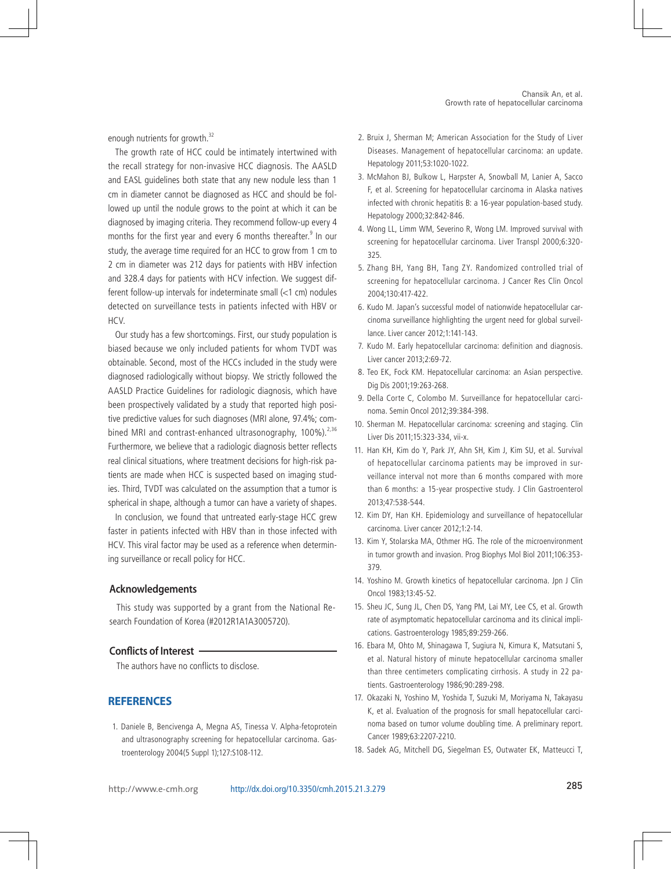enough nutrients for growth.<sup>32</sup>

The growth rate of HCC could be intimately intertwined with the recall strategy for non-invasive HCC diagnosis. The AASLD and EASL guidelines both state that any new nodule less than 1 cm in diameter cannot be diagnosed as HCC and should be followed up until the nodule grows to the point at which it can be diagnosed by imaging criteria. They recommend follow-up every 4 months for the first year and every 6 months thereafter.<sup>9</sup> In our study, the average time required for an HCC to grow from 1 cm to 2 cm in diameter was 212 days for patients with HBV infection and 328.4 days for patients with HCV infection. We suggest different follow-up intervals for indeterminate small (<1 cm) nodules detected on surveillance tests in patients infected with HBV or HCV.

Our study has a few shortcomings. First, our study population is biased because we only included patients for whom TVDT was obtainable. Second, most of the HCCs included in the study were diagnosed radiologically without biopsy. We strictly followed the AASLD Practice Guidelines for radiologic diagnosis, which have been prospectively validated by a study that reported high positive predictive values for such diagnoses (MRI alone, 97.4%; combined MRI and contrast-enhanced ultrasonography,  $100\%$ ).<sup>2,36</sup> Furthermore, we believe that a radiologic diagnosis better reflects real clinical situations, where treatment decisions for high-risk patients are made when HCC is suspected based on imaging studies. Third, TVDT was calculated on the assumption that a tumor is spherical in shape, although a tumor can have a variety of shapes.

In conclusion, we found that untreated early-stage HCC grew faster in patients infected with HBV than in those infected with HCV. This viral factor may be used as a reference when determining surveillance or recall policy for HCC.

## **Acknowledgements**

This study was supported by a grant from the National Research Foundation of Korea (#2012R1A1A3005720).

#### **Conflicts of Interest**

The authors have no conflicts to disclose.

### **REFERENCES**

 1. Daniele B, Bencivenga A, Megna AS, Tinessa V. Alpha-fetoprotein and ultrasonography screening for hepatocellular carcinoma. Gastroenterology 2004(5 Suppl 1);127:S108-112.

- 2. Bruix J, Sherman M; American Association for the Study of Liver Diseases. Management of hepatocellular carcinoma: an update. Hepatology 2011;53:1020-1022.
- 3. McMahon BJ, Bulkow L, Harpster A, Snowball M, Lanier A, Sacco F, et al. Screening for hepatocellular carcinoma in Alaska natives infected with chronic hepatitis B: a 16-year population-based study. Hepatology 2000;32:842-846.
- 4. Wong LL, Limm WM, Severino R, Wong LM. Improved survival with screening for hepatocellular carcinoma. Liver Transpl 2000;6:320- 325.
- 5. Zhang BH, Yang BH, Tang ZY. Randomized controlled trial of screening for hepatocellular carcinoma. J Cancer Res Clin Oncol 2004;130:417-422.
- 6. Kudo M. Japan's successful model of nationwide hepatocellular carcinoma surveillance highlighting the urgent need for global surveillance. Liver cancer 2012;1:141-143.
- 7. Kudo M. Early hepatocellular carcinoma: definition and diagnosis. Liver cancer 2013;2:69-72.
- 8. Teo EK, Fock KM. Hepatocellular carcinoma: an Asian perspective. Dig Dis 2001;19:263-268.
- 9. Della Corte C, Colombo M. Surveillance for hepatocellular carcinoma. Semin Oncol 2012;39:384-398.
- 10. Sherman M. Hepatocellular carcinoma: screening and staging. Clin Liver Dis 2011;15:323-334, vii-x.
- 11. Han KH, Kim do Y, Park JY, Ahn SH, Kim J, Kim SU, et al. Survival of hepatocellular carcinoma patients may be improved in surveillance interval not more than 6 months compared with more than 6 months: a 15-year prospective study. J Clin Gastroenterol 2013;47:538-544.
- 12. Kim DY, Han KH. Epidemiology and surveillance of hepatocellular carcinoma. Liver cancer 2012;1:2-14.
- 13. Kim Y, Stolarska MA, Othmer HG. The role of the microenvironment in tumor growth and invasion. Prog Biophys Mol Biol 2011;106:353- 379.
- 14. Yoshino M. Growth kinetics of hepatocellular carcinoma. Jpn J Clin Oncol 1983;13:45-52.
- 15. Sheu JC, Sung JL, Chen DS, Yang PM, Lai MY, Lee CS, et al. Growth rate of asymptomatic hepatocellular carcinoma and its clinical implications. Gastroenterology 1985;89:259-266.
- 16. Ebara M, Ohto M, Shinagawa T, Sugiura N, Kimura K, Matsutani S, et al. Natural history of minute hepatocellular carcinoma smaller than three centimeters complicating cirrhosis. A study in 22 patients. Gastroenterology 1986;90:289-298.
- 17. Okazaki N, Yoshino M, Yoshida T, Suzuki M, Moriyama N, Takayasu K, et al. Evaluation of the prognosis for small hepatocellular carcinoma based on tumor volume doubling time. A preliminary report. Cancer 1989;63:2207-2210.
- 18. Sadek AG, Mitchell DG, Siegelman ES, Outwater EK, Matteucci T,